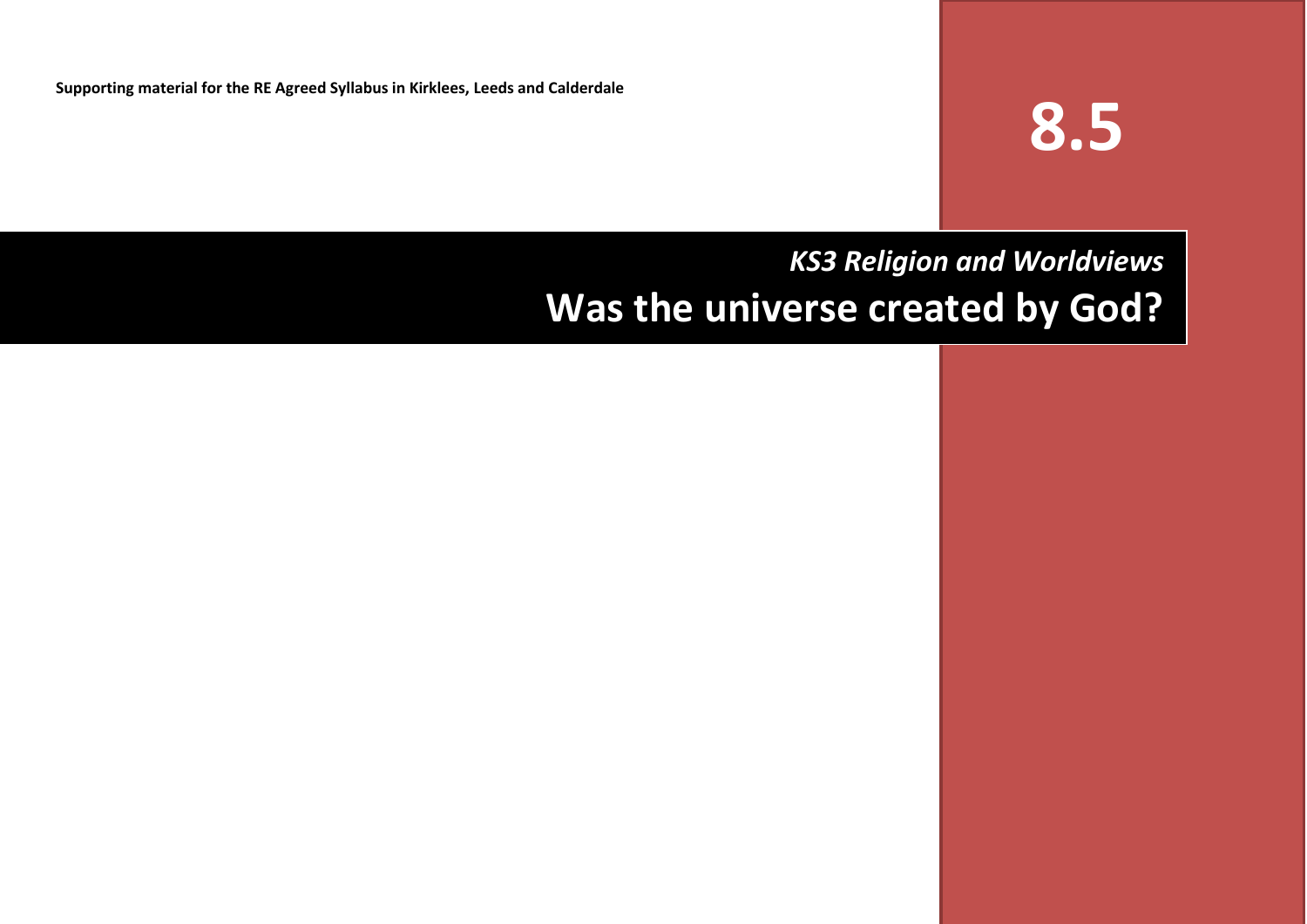**Supporting material for the RE Agreed Syllabus in Kirklees, Leeds and Calderdale**

# **8.5**

# *KS3 Religion and Worldviews* **Was the universe created by God?**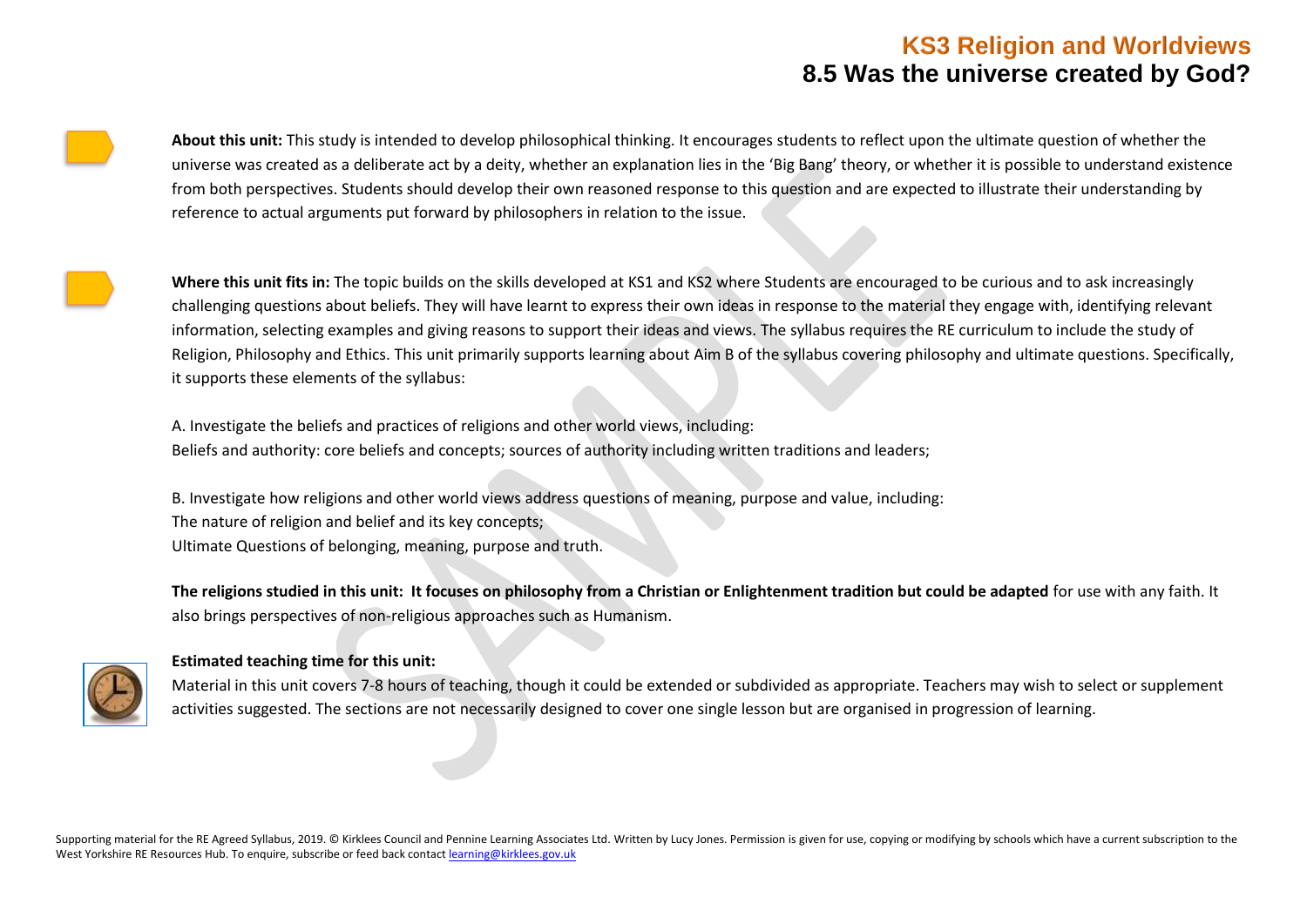**About this unit:** This study is intended to develop philosophical thinking. It encourages students to reflect upon the ultimate question of whether the universe was created as a deliberate act by a deity, whether an explanation lies in the 'Big Bang' theory, or whether it is possible to understand existence from both perspectives. Students should develop their own reasoned response to this question and are expected to illustrate their understanding by reference to actual arguments put forward by philosophers in relation to the issue.

Where this unit fits in: The topic builds on the skills developed at KS1 and KS2 where Students are encouraged to be curious and to ask increasingly challenging questions about beliefs. They will have learnt to express their own ideas in response to the material they engage with, identifying relevant information, selecting examples and giving reasons to support their ideas and views. The syllabus requires the RE curriculum to include the study of Religion, Philosophy and Ethics. This unit primarily supports learning about Aim B of the syllabus covering philosophy and ultimate questions. Specifically, it supports these elements of the syllabus:

A. Investigate the beliefs and practices of religions and other world views, including: 1. Beliefs and authority: core beliefs and concepts; sources of authority including written traditions and leaders;

B. Investigate how religions and other world views address questions of meaning, purpose and value, including: The nature of religion and belief and its key concepts: 2. Ultimate Questions of belonging, meaning, purpose and truth.

**The religions studied in this unit: It focuses on philosophy from a Christian or Enlightenment tradition but could be adapted** for use with any faith. It also brings perspectives of non-religious approaches such as Humanism.



#### **Estimated teaching time for this unit:**

Material in this unit covers 7-8 hours of teaching, though it could be extended or subdivided as appropriate. Teachers may wish to select or supplement activities suggested. The sections are not necessarily designed to cover one single lesson but are organised in progression of learning.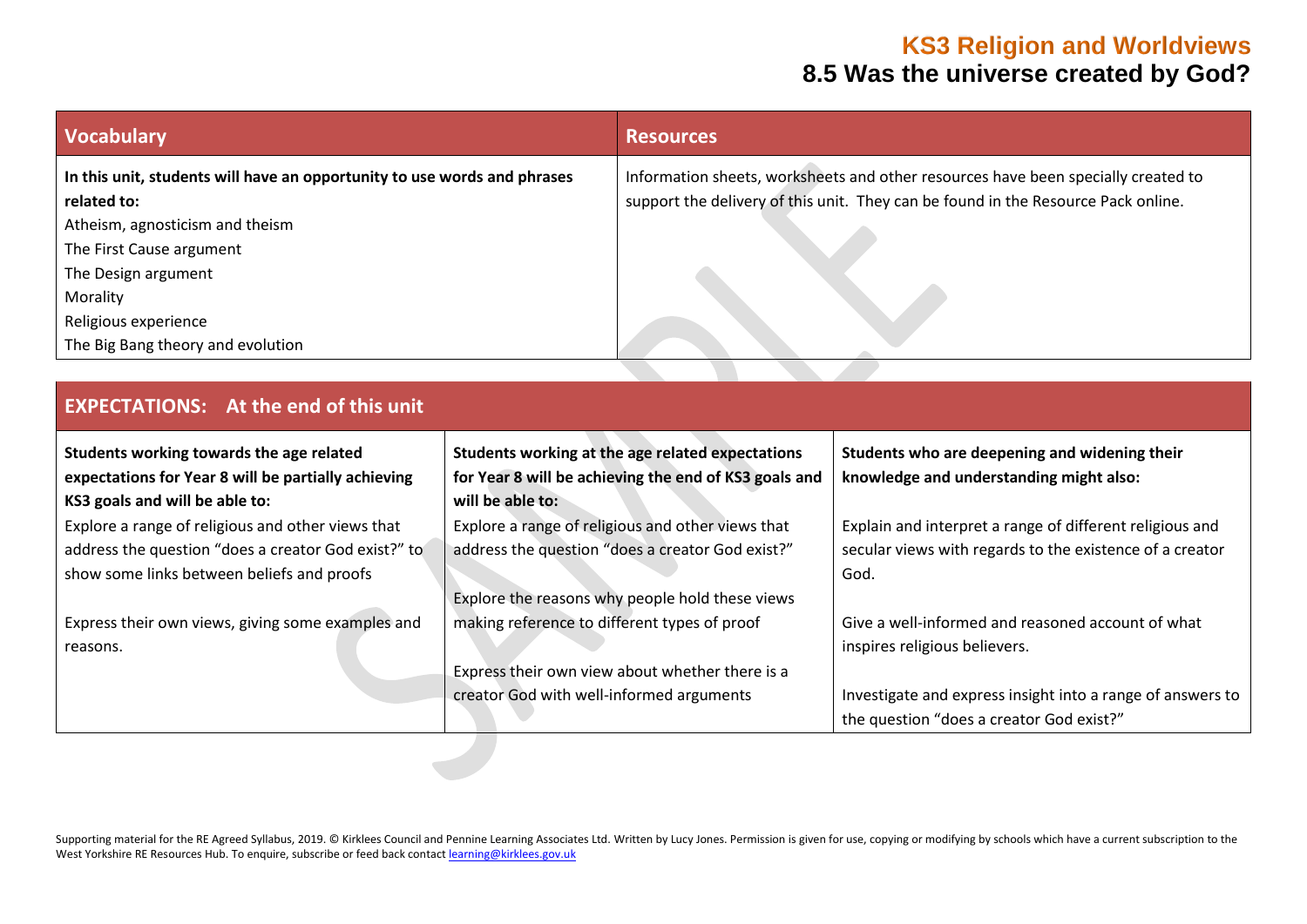| <b>Vocabulary</b>                                                        | <b>Resources</b>                                                                  |
|--------------------------------------------------------------------------|-----------------------------------------------------------------------------------|
| In this unit, students will have an opportunity to use words and phrases | Information sheets, worksheets and other resources have been specially created to |
| related to:                                                              | support the delivery of this unit. They can be found in the Resource Pack online. |
| Atheism, agnosticism and theism                                          |                                                                                   |
| The First Cause argument                                                 |                                                                                   |
| The Design argument                                                      |                                                                                   |
| Morality                                                                 |                                                                                   |
| Religious experience                                                     |                                                                                   |
| The Big Bang theory and evolution                                        |                                                                                   |

| Students working towards the age related            | Students working at the age related expectations      | Students who are deepening and widening their              |
|-----------------------------------------------------|-------------------------------------------------------|------------------------------------------------------------|
| expectations for Year 8 will be partially achieving | for Year 8 will be achieving the end of KS3 goals and | knowledge and understanding might also:                    |
| KS3 goals and will be able to:                      | will be able to:                                      |                                                            |
| Explore a range of religious and other views that   | Explore a range of religious and other views that     | Explain and interpret a range of different religious and   |
| address the question "does a creator God exist?" to | address the question "does a creator God exist?"      | secular views with regards to the existence of a creator   |
| show some links between beliefs and proofs          |                                                       | God.                                                       |
|                                                     | Explore the reasons why people hold these views       |                                                            |
| Express their own views, giving some examples and   | making reference to different types of proof          | Give a well-informed and reasoned account of what          |
| reasons.                                            |                                                       | inspires religious believers.                              |
|                                                     | Express their own view about whether there is a       |                                                            |
|                                                     | creator God with well-informed arguments              | Investigate and express insight into a range of answers to |
|                                                     |                                                       | the question "does a creator God exist?"                   |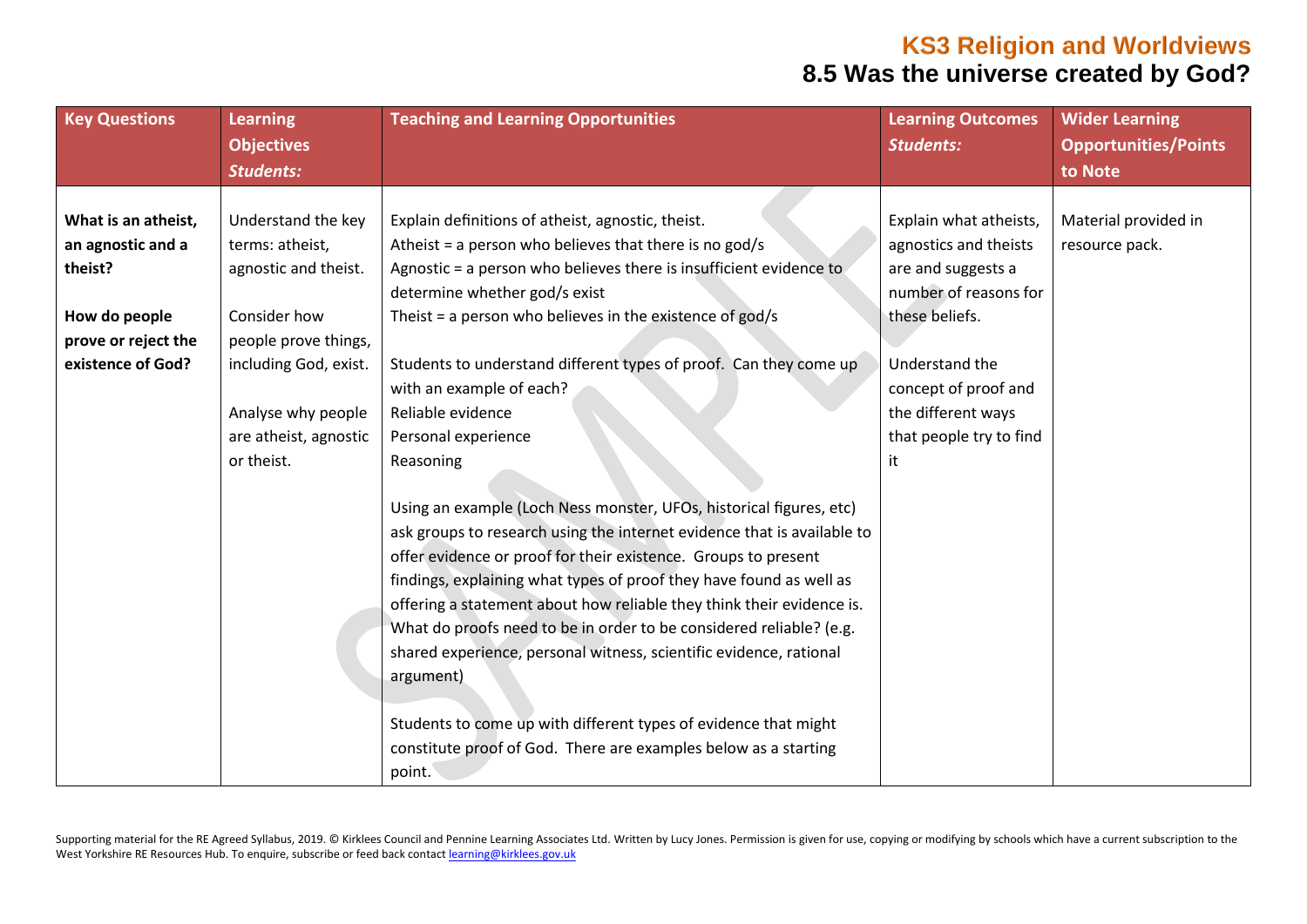| <b>Key Questions</b> | <b>Learning</b>       | <b>Teaching and Learning Opportunities</b>                              | <b>Learning Outcomes</b> | <b>Wider Learning</b>       |
|----------------------|-----------------------|-------------------------------------------------------------------------|--------------------------|-----------------------------|
|                      | <b>Objectives</b>     |                                                                         | <b>Students:</b>         | <b>Opportunities/Points</b> |
|                      | <b>Students:</b>      |                                                                         |                          | to Note                     |
|                      |                       |                                                                         |                          |                             |
| What is an atheist,  | Understand the key    | Explain definitions of atheist, agnostic, theist.                       | Explain what atheists,   | Material provided in        |
| an agnostic and a    | terms: atheist,       | Atheist = a person who believes that there is no god/s                  | agnostics and theists    | resource pack.              |
| theist?              | agnostic and theist.  | Agnostic = a person who believes there is insufficient evidence to      | are and suggests a       |                             |
|                      |                       | determine whether god/s exist                                           | number of reasons for    |                             |
| How do people        | Consider how          | Theist = a person who believes in the existence of god/s                | these beliefs.           |                             |
| prove or reject the  | people prove things,  |                                                                         |                          |                             |
| existence of God?    | including God, exist. | Students to understand different types of proof. Can they come up       | Understand the           |                             |
|                      |                       | with an example of each?                                                | concept of proof and     |                             |
|                      | Analyse why people    | Reliable evidence                                                       | the different ways       |                             |
|                      | are atheist, agnostic | Personal experience                                                     | that people try to find  |                             |
|                      | or theist.            | Reasoning                                                               | it                       |                             |
|                      |                       |                                                                         |                          |                             |
|                      |                       | Using an example (Loch Ness monster, UFOs, historical figures, etc)     |                          |                             |
|                      |                       | ask groups to research using the internet evidence that is available to |                          |                             |
|                      |                       | offer evidence or proof for their existence. Groups to present          |                          |                             |
|                      |                       | findings, explaining what types of proof they have found as well as     |                          |                             |
|                      |                       | offering a statement about how reliable they think their evidence is.   |                          |                             |
|                      |                       | What do proofs need to be in order to be considered reliable? (e.g.     |                          |                             |
|                      |                       | shared experience, personal witness, scientific evidence, rational      |                          |                             |
|                      |                       | argument)                                                               |                          |                             |
|                      |                       |                                                                         |                          |                             |
|                      |                       | Students to come up with different types of evidence that might         |                          |                             |
|                      |                       | constitute proof of God. There are examples below as a starting         |                          |                             |
|                      |                       | point.                                                                  |                          |                             |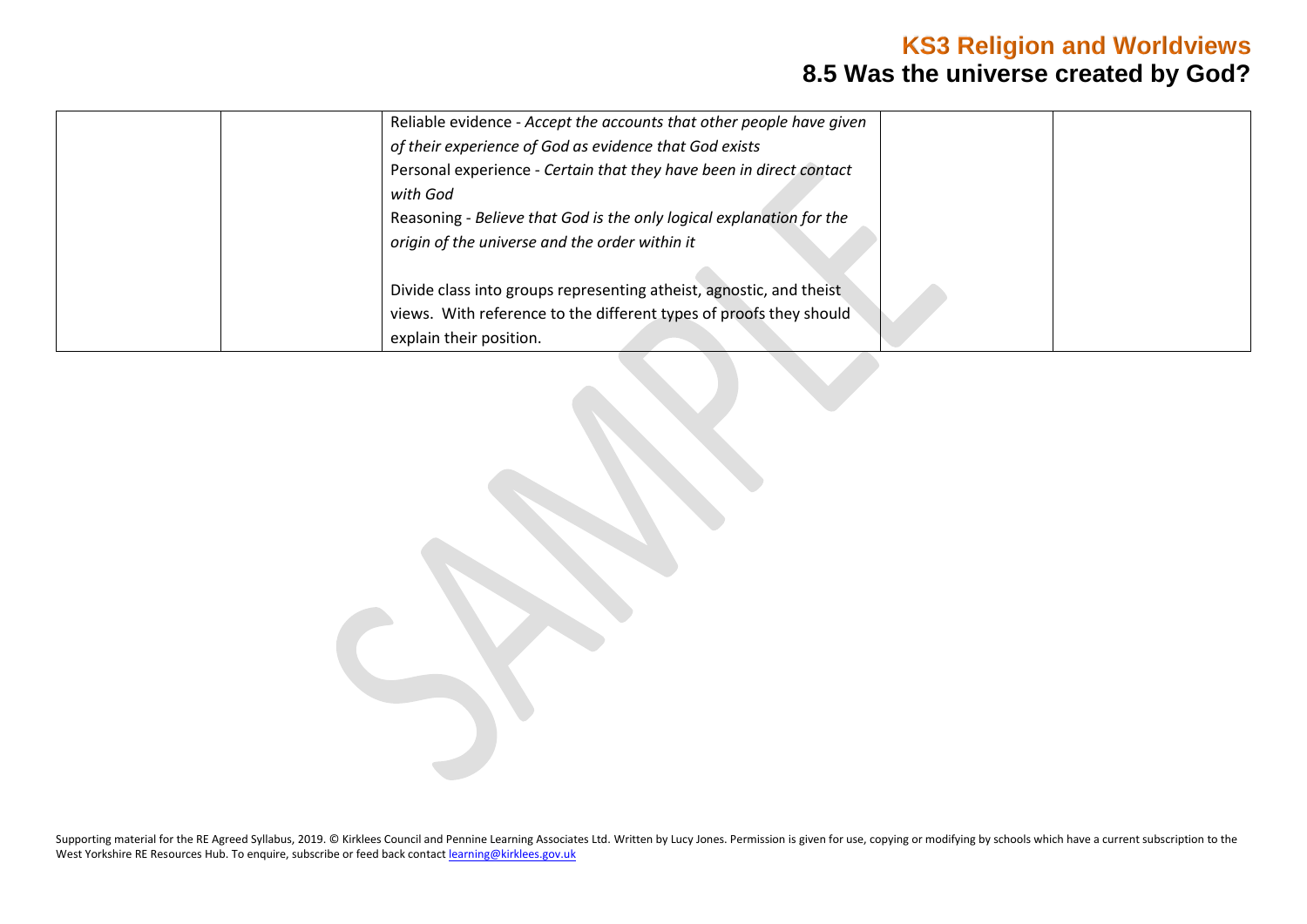| Reliable evidence - Accept the accounts that other people have given |
|----------------------------------------------------------------------|
| of their experience of God as evidence that God exists               |
| Personal experience - Certain that they have been in direct contact  |
| with God                                                             |
| Reasoning - Believe that God is the only logical explanation for the |
| origin of the universe and the order within it                       |
|                                                                      |
| Divide class into groups representing atheist, agnostic, and theist  |
| views. With reference to the different types of proofs they should   |
| explain their position.                                              |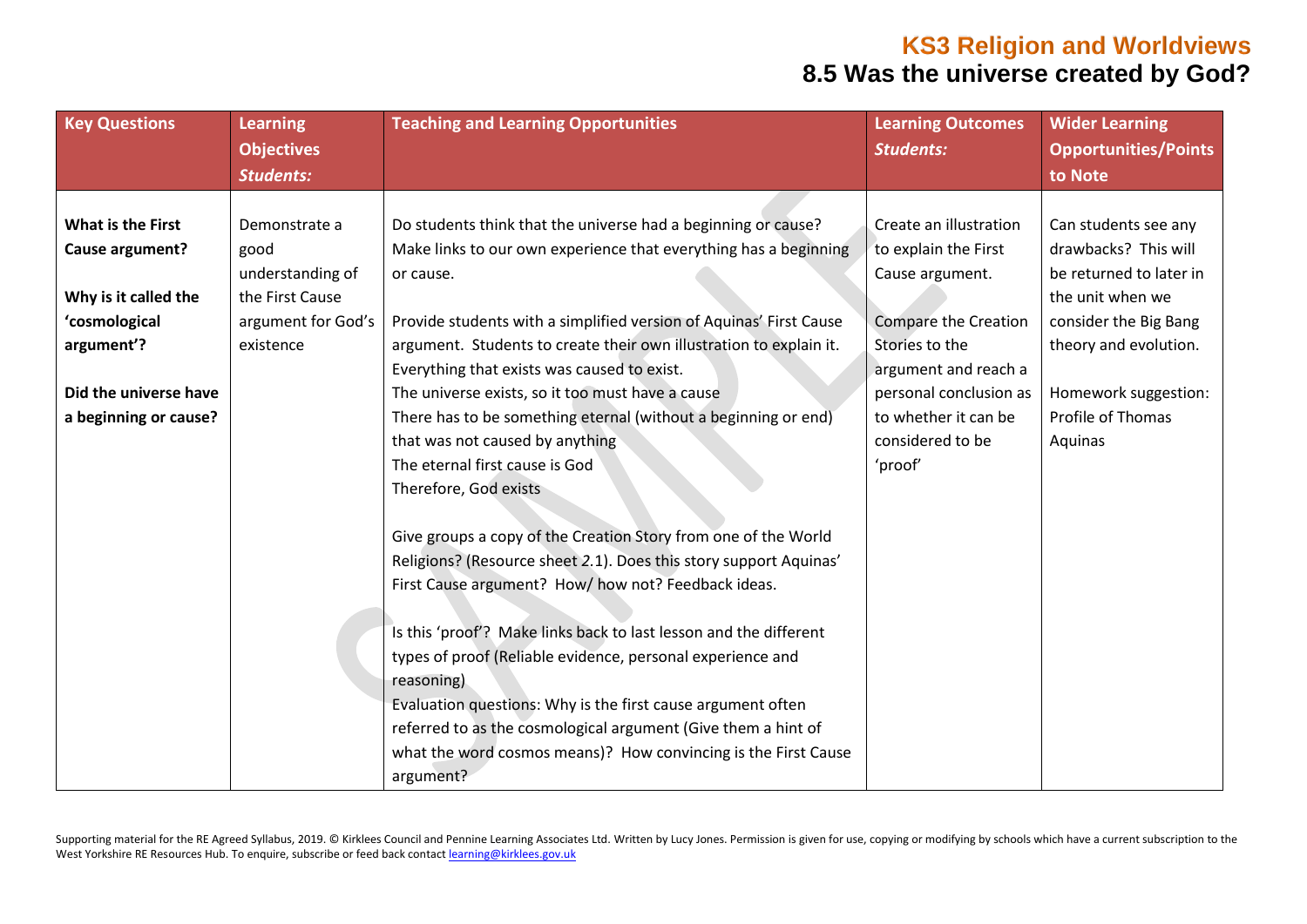| <b>Key Questions</b>     | <b>Learning</b>    | <b>Teaching and Learning Opportunities</b>                         | <b>Learning Outcomes</b>    | <b>Wider Learning</b>       |
|--------------------------|--------------------|--------------------------------------------------------------------|-----------------------------|-----------------------------|
|                          | <b>Objectives</b>  |                                                                    | <b>Students:</b>            | <b>Opportunities/Points</b> |
|                          | <b>Students:</b>   |                                                                    |                             | to Note                     |
|                          |                    |                                                                    |                             |                             |
| <b>What is the First</b> | Demonstrate a      | Do students think that the universe had a beginning or cause?      | Create an illustration      | Can students see any        |
| Cause argument?          | good               | Make links to our own experience that everything has a beginning   | to explain the First        | drawbacks? This will        |
|                          | understanding of   | or cause.                                                          | Cause argument.             | be returned to later in     |
| Why is it called the     | the First Cause    |                                                                    |                             | the unit when we            |
| 'cosmological            | argument for God's | Provide students with a simplified version of Aquinas' First Cause | <b>Compare the Creation</b> | consider the Big Bang       |
| argument'?               | existence          | argument. Students to create their own illustration to explain it. | Stories to the              | theory and evolution.       |
|                          |                    | Everything that exists was caused to exist.                        | argument and reach a        |                             |
| Did the universe have    |                    | The universe exists, so it too must have a cause                   | personal conclusion as      | Homework suggestion:        |
| a beginning or cause?    |                    | There has to be something eternal (without a beginning or end)     | to whether it can be        | Profile of Thomas           |
|                          |                    | that was not caused by anything                                    | considered to be            | Aquinas                     |
|                          |                    | The eternal first cause is God                                     | 'proof'                     |                             |
|                          |                    | Therefore, God exists                                              |                             |                             |
|                          |                    |                                                                    |                             |                             |
|                          |                    | Give groups a copy of the Creation Story from one of the World     |                             |                             |
|                          |                    | Religions? (Resource sheet 2.1). Does this story support Aquinas'  |                             |                             |
|                          |                    | First Cause argument? How/ how not? Feedback ideas.                |                             |                             |
|                          |                    |                                                                    |                             |                             |
|                          |                    | Is this 'proof'? Make links back to last lesson and the different  |                             |                             |
|                          |                    | types of proof (Reliable evidence, personal experience and         |                             |                             |
|                          |                    | reasoning)                                                         |                             |                             |
|                          |                    | Evaluation questions: Why is the first cause argument often        |                             |                             |
|                          |                    | referred to as the cosmological argument (Give them a hint of      |                             |                             |
|                          |                    | what the word cosmos means)? How convincing is the First Cause     |                             |                             |
|                          |                    | argument?                                                          |                             |                             |